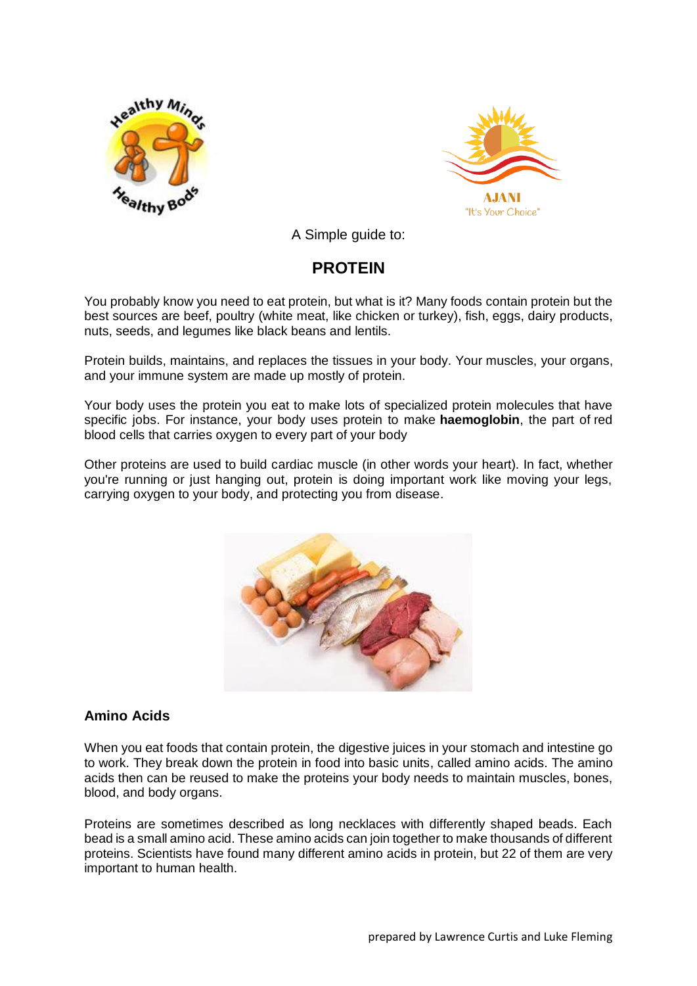



A Simple guide to:

# **PROTEIN**

You probably know you need to eat protein, but what is it? Many foods contain protein but the best sources are beef, poultry (white meat, like chicken or turkey), fish, eggs, dairy products, nuts, seeds, and legumes like black beans and lentils.

Protein builds, maintains, and replaces the tissues in your body. Your muscles, your organs, and your immune system are made up mostly of protein.

Your body uses the protein you eat to make lots of specialized protein molecules that have specific jobs. For instance, your body uses protein to make **haemoglobin**, the part of red blood cells that carries oxygen to every part of your body

Other proteins are used to build cardiac muscle (in other words your heart). In fact, whether you're running or just hanging out, protein is doing important work like moving your legs, carrying oxygen to your body, and protecting you from disease.



## **Amino Acids**

When you eat foods that contain protein, the digestive juices in your stomach and intestine go to work. They break down the protein in food into basic units, called amino acids. The amino acids then can be reused to make the proteins your body needs to maintain muscles, bones, blood, and body organs.

Proteins are sometimes described as long necklaces with differently shaped beads. Each bead is a small amino acid. These amino acids can join together to make thousands of different proteins. Scientists have found many different amino acids in protein, but 22 of them are very important to human health.